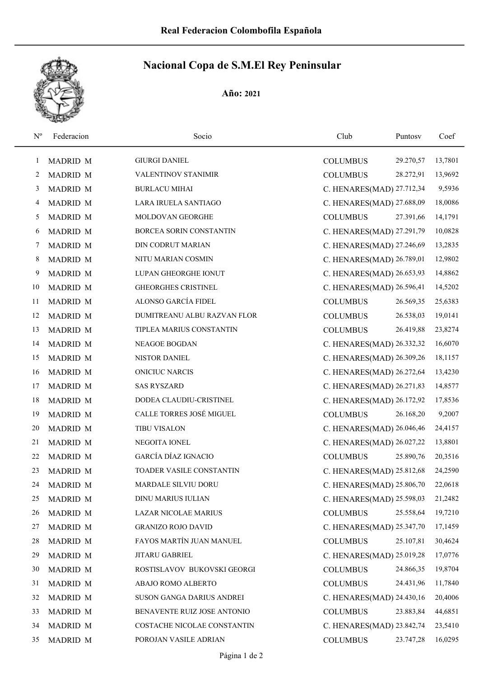

## Nacional Copa de S.M.El Rey Peninsular

Año: 2021

| $\mathrm{N}^{\mathrm{o}}$ | Federacion      | Socio                       | Club                      | Puntosv   | Coef    |
|---------------------------|-----------------|-----------------------------|---------------------------|-----------|---------|
| 1                         | <b>MADRID M</b> | <b>GIURGI DANIEL</b>        | <b>COLUMBUS</b>           | 29.270,57 | 13,7801 |
| 2                         | <b>MADRID M</b> | VALENTINOV STANIMIR         | <b>COLUMBUS</b>           | 28.272,91 | 13,9692 |
| 3                         | <b>MADRID M</b> | <b>BURLACU MIHAI</b>        | C. HENARES(MAD) 27.712,34 |           | 9,5936  |
| 4                         | <b>MADRID M</b> | LARA IRUELA SANTIAGO        | C. HENARES(MAD) 27.688,09 |           | 18,0086 |
| 5                         | MADRID M        | MOLDOVAN GEORGHE            | <b>COLUMBUS</b>           | 27.391,66 | 14,1791 |
| 6                         | <b>MADRID M</b> | BORCEA SORIN CONSTANTIN     | C. HENARES(MAD) 27.291,79 |           | 10,0828 |
| 7                         | MADRID M        | DIN CODRUT MARIAN           | C. HENARES(MAD) 27.246,69 |           | 13,2835 |
| 8                         | <b>MADRID M</b> | NITU MARIAN COSMIN          | C. HENARES(MAD) 26.789,01 |           | 12,9802 |
| 9                         | <b>MADRID M</b> | LUPAN GHEORGHE IONUT        | C. HENARES(MAD) 26.653,93 |           | 14,8862 |
| 10                        | <b>MADRID M</b> | GHEORGHES CRISTINEL         | C. HENARES(MAD) 26.596,41 |           | 14,5202 |
| 11                        | <b>MADRID M</b> | ALONSO GARCÍA FIDEL         | <b>COLUMBUS</b>           | 26.569,35 | 25,6383 |
| 12                        | MADRID M        | DUMITREANU ALBU RAZVAN FLOR | <b>COLUMBUS</b>           | 26.538,03 | 19,0141 |
| 13                        | <b>MADRID M</b> | TIPLEA MARIUS CONSTANTIN    | <b>COLUMBUS</b>           | 26.419,88 | 23,8274 |
| 14                        | MADRID M        | NEAGOE BOGDAN               | C. HENARES(MAD) 26.332,32 |           | 16,6070 |
| 15                        | <b>MADRID M</b> | NISTOR DANIEL               | C. HENARES(MAD) 26.309,26 |           | 18,1157 |
| 16                        | <b>MADRID M</b> | <b>ONICIUC NARCIS</b>       | C. HENARES(MAD) 26.272,64 |           | 13,4230 |
| 17                        | <b>MADRID M</b> | <b>SAS RYSZARD</b>          | C. HENARES(MAD) 26.271,83 |           | 14,8577 |
| 18                        | <b>MADRID M</b> | DODEA CLAUDIU-CRISTINEL     | C. HENARES(MAD) 26.172,92 |           | 17,8536 |
| 19                        | <b>MADRID M</b> | CALLE TORRES JOSÉ MIGUEL    | <b>COLUMBUS</b>           | 26.168,20 | 9,2007  |
| 20                        | <b>MADRID M</b> | <b>TIBU VISALON</b>         | C. HENARES(MAD) 26.046,46 |           | 24,4157 |
| 21                        | MADRID M        | NEGOITA IONEL               | C. HENARES(MAD) 26.027,22 |           | 13,8801 |
| 22                        | <b>MADRID M</b> | <b>GARCÍA DÍAZ IGNACIO</b>  | <b>COLUMBUS</b>           | 25.890,76 | 20,3516 |
| 23                        | MADRID M        | TOADER VASILE CONSTANTIN    | C. HENARES(MAD) 25.812,68 |           | 24,2590 |
| 24                        | <b>MADRID M</b> | MARDALE SILVIU DORU         | C. HENARES(MAD) 25.806,70 |           | 22,0618 |
| 25                        | <b>MADRID M</b> | DINU MARIUS IULIAN          | C. HENARES(MAD) 25.598,03 |           | 21,2482 |
| 26                        | <b>MADRID M</b> | LAZAR NICOLAE MARIUS        | <b>COLUMBUS</b>           | 25.558,64 | 19,7210 |
| 27                        | <b>MADRID M</b> | <b>GRANIZO ROJO DAVID</b>   | C. HENARES(MAD) 25.347,70 |           | 17,1459 |
| 28                        | MADRID M        | FAYOS MARTÍN JUAN MANUEL    | <b>COLUMBUS</b>           | 25.107,81 | 30,4624 |
| 29                        | <b>MADRID M</b> | JITARU GABRIEL              | C. HENARES(MAD) 25.019,28 |           | 17,0776 |
| 30                        | <b>MADRID M</b> | ROSTISLAVOV BUKOVSKI GEORGI | <b>COLUMBUS</b>           | 24.866,35 | 19,8704 |
| 31                        | <b>MADRID M</b> | ABAJO ROMO ALBERTO          | <b>COLUMBUS</b>           | 24.431,96 | 11,7840 |
| 32                        | <b>MADRID M</b> | SUSON GANGA DARIUS ANDREI   | C. HENARES(MAD) 24.430,16 |           | 20,4006 |
| 33                        | <b>MADRID M</b> | BENAVENTE RUIZ JOSE ANTONIO | <b>COLUMBUS</b>           | 23.883,84 | 44,6851 |
| 34                        | <b>MADRID M</b> | COSTACHE NICOLAE CONSTANTIN | C. HENARES(MAD) 23.842,74 |           | 23,5410 |
| 35                        | MADRID M        | POROJAN VASILE ADRIAN       | <b>COLUMBUS</b>           | 23.747,28 | 16,0295 |